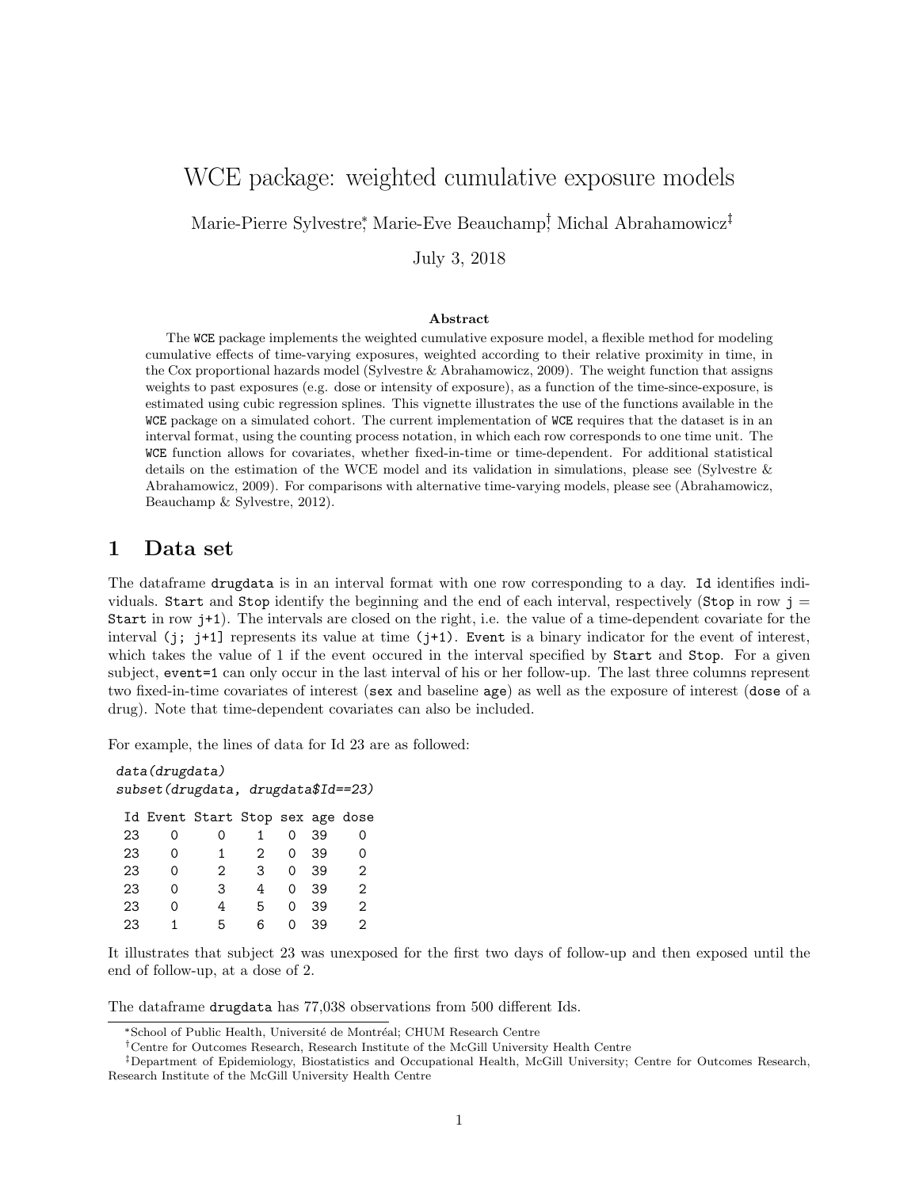# WCE package: weighted cumulative exposure models

Marie-Pierre Sylvestre\*, Marie-Eve Beauchamp<sup>†</sup>, Michal Abrahamowicz<sup>‡</sup>

July 3, 2018

#### Abstract

The WCE package implements the weighted cumulative exposure model, a flexible method for modeling cumulative effects of time-varying exposures, weighted according to their relative proximity in time, in the Cox proportional hazards model (Sylvestre & Abrahamowicz, 2009). The weight function that assigns weights to past exposures (e.g. dose or intensity of exposure), as a function of the time-since-exposure, is estimated using cubic regression splines. This vignette illustrates the use of the functions available in the WCE package on a simulated cohort. The current implementation of WCE requires that the dataset is in an interval format, using the counting process notation, in which each row corresponds to one time unit. The WCE function allows for covariates, whether fixed-in-time or time-dependent. For additional statistical details on the estimation of the WCE model and its validation in simulations, please see (Sylvestre & Abrahamowicz, 2009). For comparisons with alternative time-varying models, please see (Abrahamowicz, Beauchamp & Sylvestre, 2012).

### 1 Data set

The dataframe drugdata is in an interval format with one row corresponding to a day. Id identifies individuals. Start and Stop identify the beginning and the end of each interval, respectively (Stop in row  $j =$ Start in row j+1). The intervals are closed on the right, i.e. the value of a time-dependent covariate for the interval  $(j; j+1]$  represents its value at time  $(j+1)$ . Event is a binary indicator for the event of interest, which takes the value of 1 if the event occured in the interval specified by **Start** and **Stop**. For a given subject, event=1 can only occur in the last interval of his or her follow-up. The last three columns represent two fixed-in-time covariates of interest (sex and baseline age) as well as the exposure of interest (dose of a drug). Note that time-dependent covariates can also be included.

For example, the lines of data for Id 23 are as followed:

```
data(drugdata)
subset(drugdata, drugdata$Id==23)
Id Event Start Stop sex age dose
23 0 0 1 0 39 0
23 0 1 2 0 39 0
23 0 2 3 0 39 2
23 0 3 4 0 39 2
23 0 4 5 0 39 2
23 1 5 6 0 39 2
```
It illustrates that subject 23 was unexposed for the first two days of follow-up and then exposed until the end of follow-up, at a dose of 2.

The dataframe drugdata has 77,038 observations from 500 different Ids.

<sup>\*</sup>School of Public Health, Université de Montréal; CHUM Research Centre

Centre for Outcomes Research, Research Institute of the McGill University Health Centre

Department of Epidemiology, Biostatistics and Occupational Health, McGill University; Centre for Outcomes Research, Research Institute of the McGill University Health Centre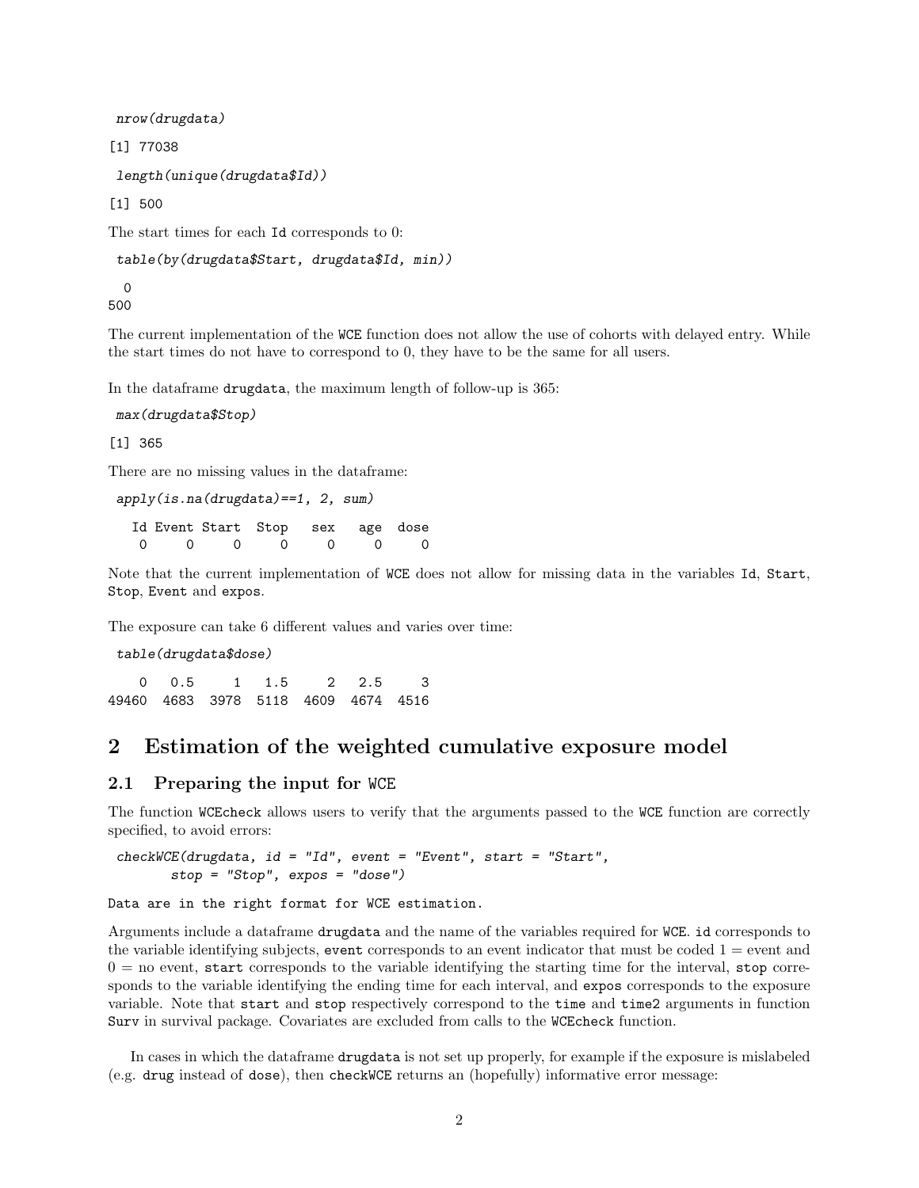```
nrow(drugdata)
[1] 77038
 length(unique(drugdata$Id))
[1] 500
The start times for each Id corresponds to 0:
 table(by(drugdata$Start, drugdata$Id, min))
```
0 500

The current implementation of the WCE function does not allow the use of cohorts with delayed entry. While the start times do not have to correspond to 0, they have to be the same for all users.

In the dataframe drugdata, the maximum length of follow-up is 365:

```
max(drugdata$Stop)
```
[1] 365

There are no missing values in the dataframe:

```
apply(is.na(drugdata) == 1, 2, sum)
```
Id Event Start Stop sex age dose 0 0 0 0 0 0 0

Note that the current implementation of WCE does not allow for missing data in the variables Id, Start, Stop, Event and expos.

The exposure can take 6 different values and varies over time:

```
table(drugdata$dose)
   0 0.5 1 1.5 2 2.5 3
49460 4683 3978 5118 4609 4674 4516
```
#### 2 Estimation of the weighted cumulative exposure model

#### 2.1 Preparing the input for WCE

The function WCEcheck allows users to verify that the arguments passed to the WCE function are correctly specified, to avoid errors:

```
checkWCE(drugdata, id = "Id", event = "Event", start = "Start",
       stop = "Stop", expos = "dose")
```
Data are in the right format for WCE estimation.

Arguments include a dataframe drugdata and the name of the variables required for WCE. id corresponds to the variable identifying subjects, event corresponds to an event indicator that must be coded  $1 =$  event and  $0 =$  no event, start corresponds to the variable identifying the starting time for the interval, stop corresponds to the variable identifying the ending time for each interval, and expos corresponds to the exposure variable. Note that start and stop respectively correspond to the time and time2 arguments in function Surv in survival package. Covariates are excluded from calls to the WCEcheck function.

In cases in which the dataframe drugdata is not set up properly, for example if the exposure is mislabeled (e.g. drug instead of dose), then checkWCE returns an (hopefully) informative error message: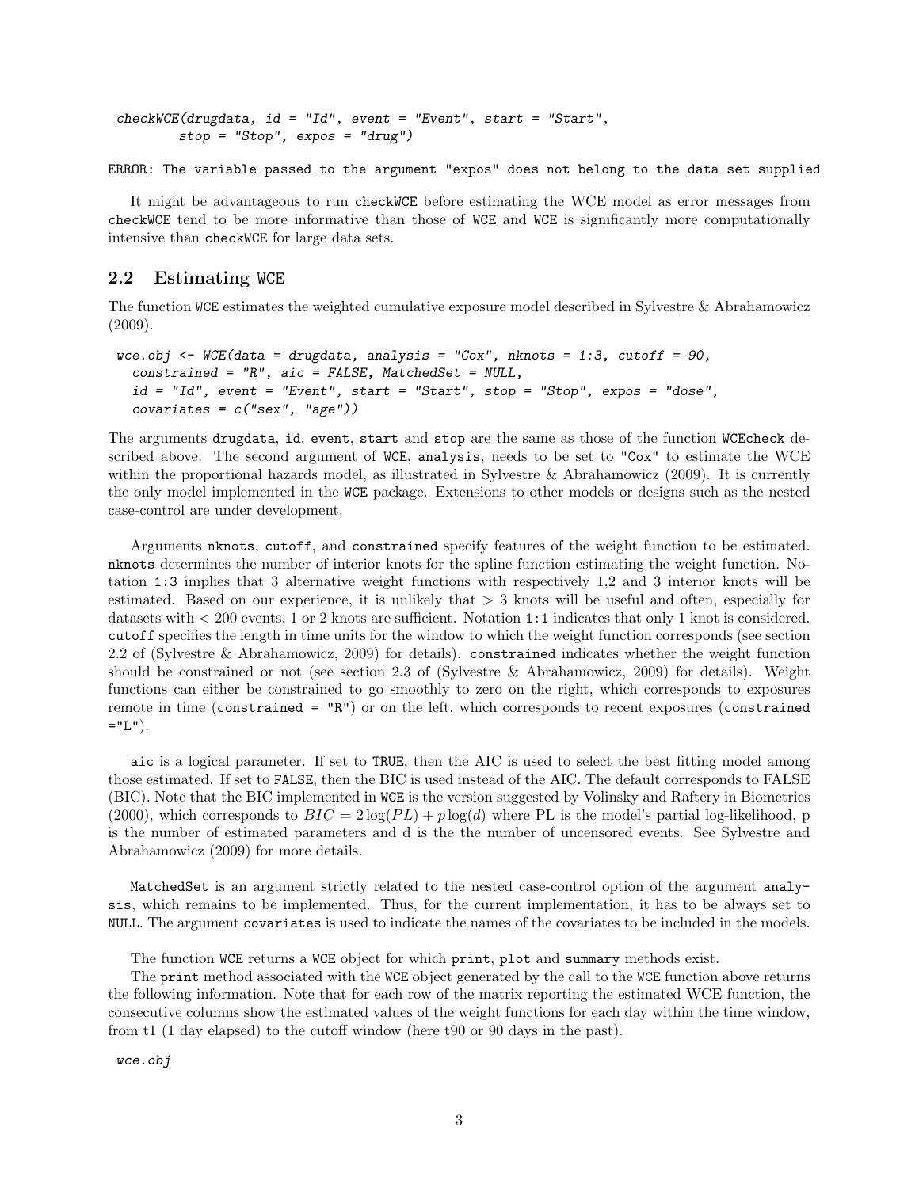```
checkWCE(drugdata, id = "Id", event = "Event", start = "Start",stop = "Stop", expos = "drug")
```
ERROR: The variable passed to the argument "expos" does not belong to the data set supplied

It might be advantageous to run checkWCE before estimating the WCE model as error messages from checkWCE tend to be more informative than those of WCE and WCE is significantly more computationally intensive than checkWCE for large data sets.

#### 2.2 Estimating WCE

The function WCE estimates the weighted cumulative exposure model described in Sylvestre & Abrahamowicz (2009).

```
wce.obj \leq WCE(data = drugdata, analysis = "Cox", nknots = 1:3, cutoff = 90,
  constrained = "R", aic = FALSE, MatchedSet = NULL,id = "Id", event = "Event", start = "Start", stop = "Stop", expos = "dose",
  covariates = c("sex", "age"))
```
The arguments drugdata, id, event, start and stop are the same as those of the function WCEcheck described above. The second argument of WCE, analysis, needs to be set to "Cox" to estimate the WCE within the proportional hazards model, as illustrated in Sylvestre & Abrahamowicz (2009). It is currently the only model implemented in the WCE package. Extensions to other models or designs such as the nested case-control are under development.

Arguments nknots, cutoff, and constrained specify features of the weight function to be estimated. nknots determines the number of interior knots for the spline function estimating the weight function. Notation 1:3 implies that 3 alternative weight functions with respectively 1,2 and 3 interior knots will be estimated. Based on our experience, it is unlikely that  $> 3$  knots will be useful and often, especially for datasets with < 200 events, 1 or 2 knots are sufficient. Notation 1:1 indicates that only 1 knot is considered. cutoff specifies the length in time units for the window to which the weight function corresponds (see section 2.2 of (Sylvestre & Abrahamowicz, 2009) for details). constrained indicates whether the weight function should be constrained or not (see section 2.3 of (Sylvestre & Abrahamowicz, 2009) for details). Weight functions can either be constrained to go smoothly to zero on the right, which corresponds to exposures remote in time (constrained = "R") or on the left, which corresponds to recent exposures (constrained  $=$ "L").

aic is a logical parameter. If set to TRUE, then the AIC is used to select the best fitting model among those estimated. If set to FALSE, then the BIC is used instead of the AIC. The default corresponds to FALSE (BIC). Note that the BIC implemented in WCE is the version suggested by Volinsky and Raftery in Biometrics (2000), which corresponds to  $BIC = 2 \log(PL) + p \log(d)$  where PL is the model's partial log-likelihood, p is the number of estimated parameters and d is the the number of uncensored events. See Sylvestre and Abrahamowicz (2009) for more details.

MatchedSet is an argument strictly related to the nested case-control option of the argument analysis, which remains to be implemented. Thus, for the current implementation, it has to be always set to NULL. The argument covariates is used to indicate the names of the covariates to be included in the models.

The function WCE returns a WCE object for which print, plot and summary methods exist.

The print method associated with the WCE object generated by the call to the WCE function above returns the following information. Note that for each row of the matrix reporting the estimated WCE function, the consecutive columns show the estimated values of the weight functions for each day within the time window, from t1 (1 day elapsed) to the cutoff window (here t90 or 90 days in the past).

wce.obj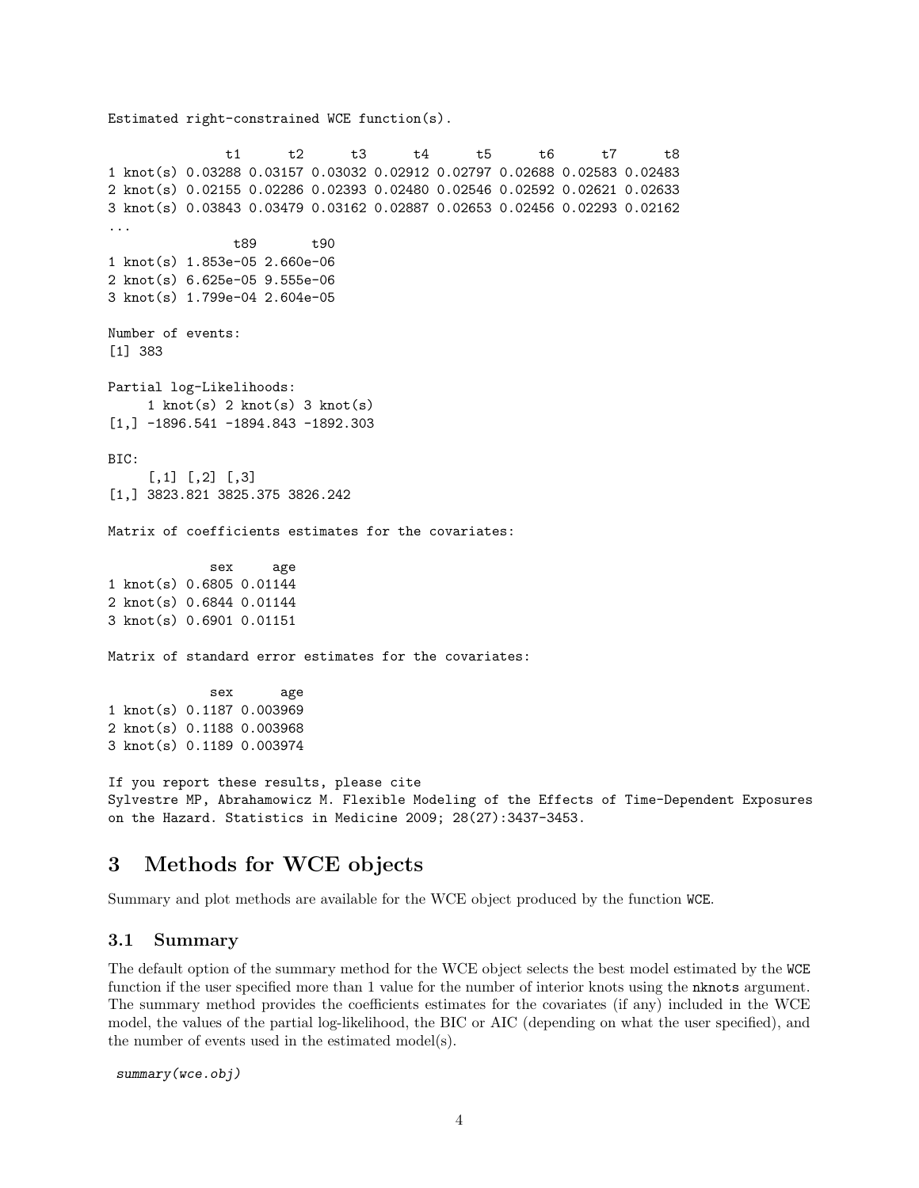Estimated right-constrained WCE function(s). t1 t2 t3 t4 t5 t6 t7 t8 1 knot(s) 0.03288 0.03157 0.03032 0.02912 0.02797 0.02688 0.02583 0.02483 2 knot(s) 0.02155 0.02286 0.02393 0.02480 0.02546 0.02592 0.02621 0.02633 3 knot(s) 0.03843 0.03479 0.03162 0.02887 0.02653 0.02456 0.02293 0.02162 ... t89 t90 1 knot(s) 1.853e-05 2.660e-06 2 knot(s) 6.625e-05 9.555e-06 3 knot(s) 1.799e-04 2.604e-05 Number of events: [1] 383 Partial log-Likelihoods:  $1$  knot(s)  $2$  knot(s)  $3$  knot(s) [1,] -1896.541 -1894.843 -1892.303 BIC:  $[,1]$   $[,2]$   $[,3]$ [1,] 3823.821 3825.375 3826.242 Matrix of coefficients estimates for the covariates: sex age 1 knot(s) 0.6805 0.01144 2 knot(s) 0.6844 0.01144 3 knot(s) 0.6901 0.01151 Matrix of standard error estimates for the covariates: sex age 1 knot(s) 0.1187 0.003969 2 knot(s) 0.1188 0.003968 3 knot(s) 0.1189 0.003974 If you report these results, please cite Sylvestre MP, Abrahamowicz M. Flexible Modeling of the Effects of Time-Dependent Exposures

## 3 Methods for WCE objects

Summary and plot methods are available for the WCE object produced by the function WCE.

on the Hazard. Statistics in Medicine 2009; 28(27):3437-3453.

#### 3.1 Summary

The default option of the summary method for the WCE object selects the best model estimated by the WCE function if the user specified more than 1 value for the number of interior knots using the nknots argument. The summary method provides the coefficients estimates for the covariates (if any) included in the WCE model, the values of the partial log-likelihood, the BIC or AIC (depending on what the user specified), and the number of events used in the estimated model(s).

summary(wce.obj)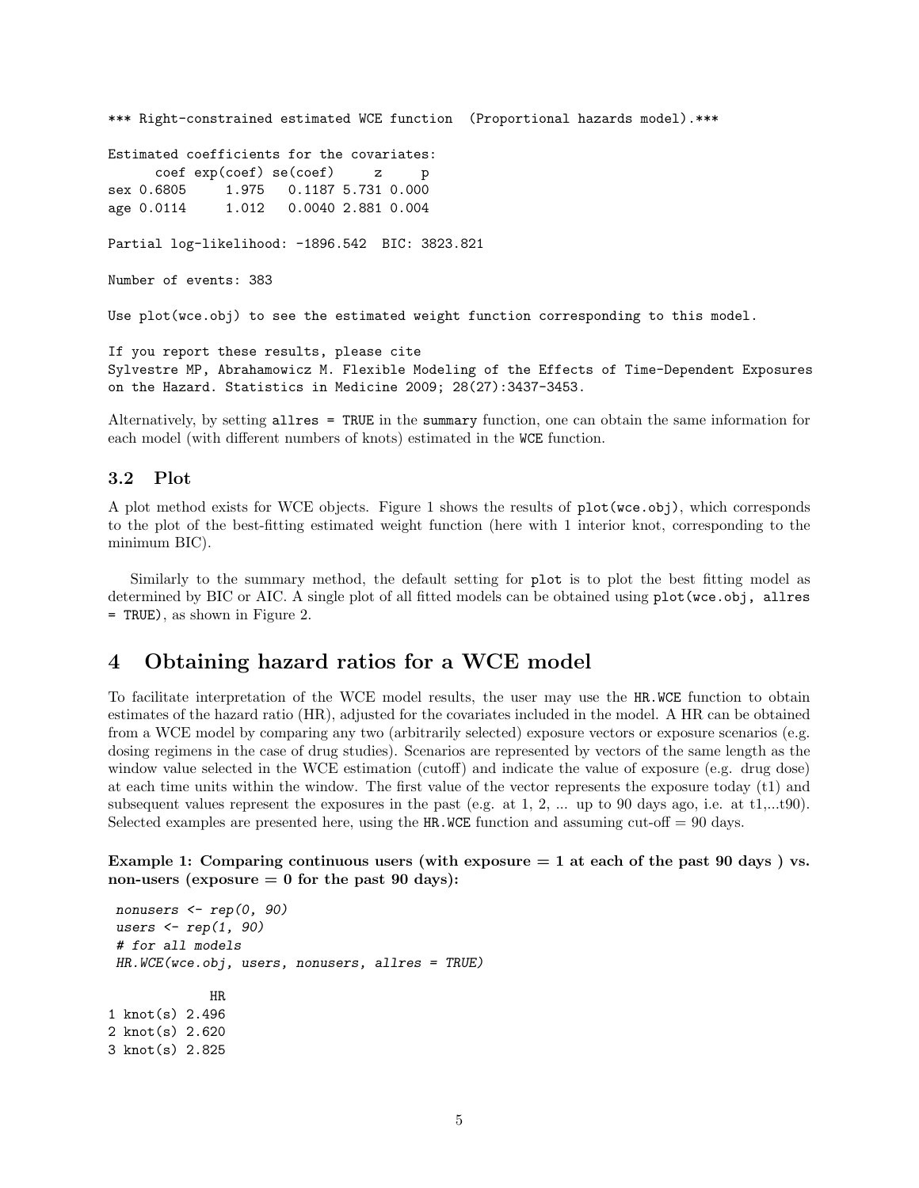```
*** Right-constrained estimated WCE function (Proportional hazards model).***
Estimated coefficients for the covariates:
     coef exp(coef) se(coef) z p
sex 0.6805 1.975 0.1187 5.731 0.000
age 0.0114 1.012 0.0040 2.881 0.004
Partial log-likelihood: -1896.542 BIC: 3823.821
Number of events: 383
Use plot(wce.obj) to see the estimated weight function corresponding to this model.
If you report these results, please cite
Sylvestre MP, Abrahamowicz M. Flexible Modeling of the Effects of Time-Dependent Exposures
on the Hazard. Statistics in Medicine 2009; 28(27):3437-3453.
```
Alternatively, by setting allres = TRUE in the summary function, one can obtain the same information for each model (with different numbers of knots) estimated in the WCE function.

#### 3.2 Plot

A plot method exists for WCE objects. Figure 1 shows the results of plot(wce.obj), which corresponds to the plot of the best-fitting estimated weight function (here with 1 interior knot, corresponding to the minimum BIC).

Similarly to the summary method, the default setting for plot is to plot the best fitting model as determined by BIC or AIC. A single plot of all fitted models can be obtained using plot(wce.obj, allres = TRUE), as shown in Figure 2.

### 4 Obtaining hazard ratios for a WCE model

To facilitate interpretation of the WCE model results, the user may use the HR.WCE function to obtain estimates of the hazard ratio (HR), adjusted for the covariates included in the model. A HR can be obtained from a WCE model by comparing any two (arbitrarily selected) exposure vectors or exposure scenarios (e.g. dosing regimens in the case of drug studies). Scenarios are represented by vectors of the same length as the window value selected in the WCE estimation (cutoff) and indicate the value of exposure (e.g. drug dose) at each time units within the window. The first value of the vector represents the exposure today (t1) and subsequent values represent the exposures in the past (e.g. at 1, 2, ... up to 90 days ago, i.e. at  $t_1$ ,...t90). Selected examples are presented here, using the HR.WCE function and assuming cut-off  $= 90$  days.

Example 1: Comparing continuous users (with exposure  $= 1$  at each of the past 90 days) vs. non-users (exposure  $= 0$  for the past  $90$  days):

```
nonusers \leftarrow rep(0, 90)users \leq rep(1, 90)
 # for all models
HR.WCE(wce.obj, users, nonusers, allres = TRUE)
              HR
1 knot(s) 2.496
2 knot(s) 2.620
3 knot(s) 2.825
```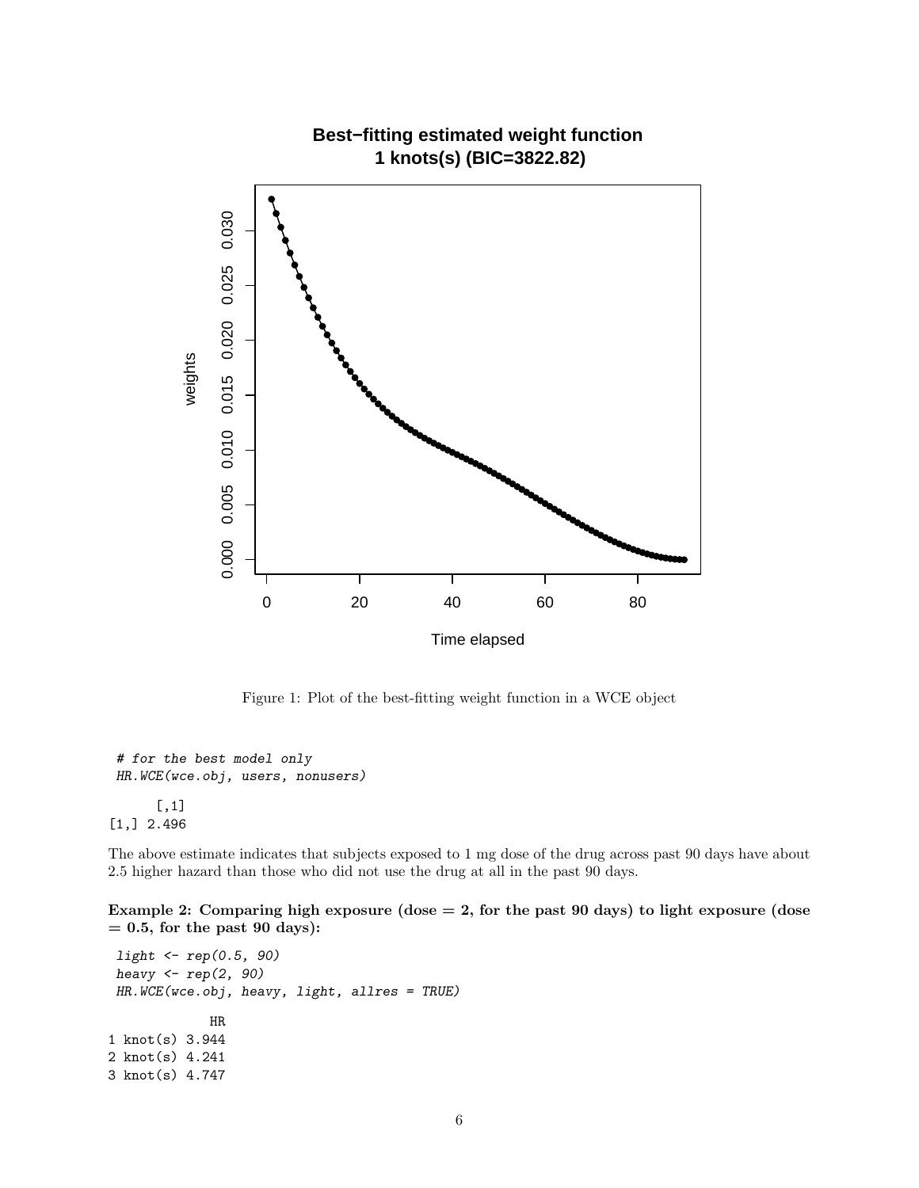

Figure 1: Plot of the best-fitting weight function in a WCE object

# for the best model only HR.WCE(wce.obj, users, nonusers)

[,1] [1,] 2.496

The above estimate indicates that subjects exposed to 1 mg dose of the drug across past 90 days have about 2.5 higher hazard than those who did not use the drug at all in the past 90 days.

Example 2: Comparing high exposure (dose  $= 2$ , for the past 90 days) to light exposure (dose  $= 0.5$ , for the past 90 days):

light <- rep(0.5, 90) heavy  $\leftarrow rep(2, 90)$ HR.WCE(wce.obj, heavy, light, allres = TRUE) HR 1 knot(s) 3.944 2 knot(s) 4.241 3 knot(s) 4.747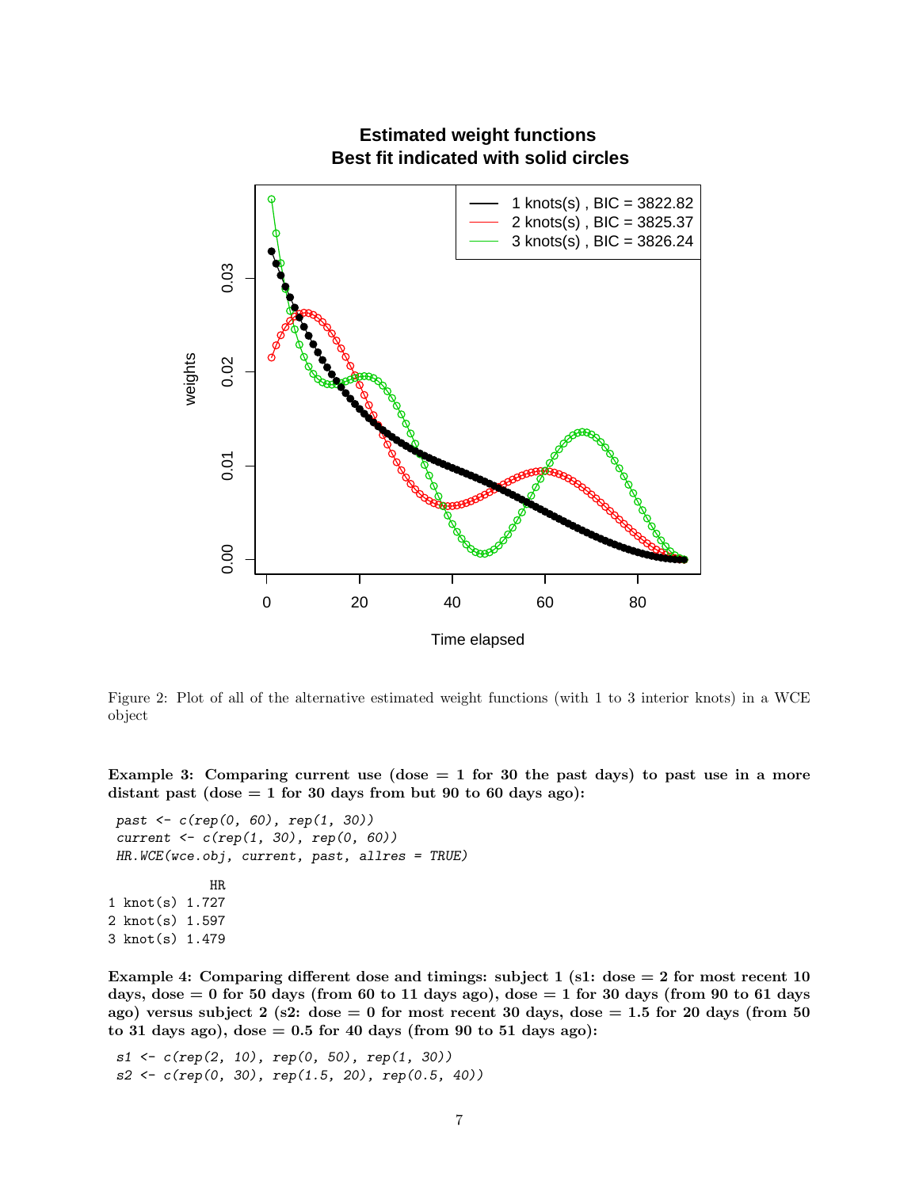

Figure 2: Plot of all of the alternative estimated weight functions (with 1 to 3 interior knots) in a WCE object

Example 3: Comparing current use (dose  $= 1$  for 30 the past days) to past use in a more distant past (dose  $= 1$  for 30 days from but 90 to 60 days ago):

```
past <- c(rep(0, 60), rep(1, 30))
current \leq c (rep(1, 30), rep(0, 60))
HR.WCE(wce.obj, current, past, allres = TRUE)
             HR
1 knot(s) 1.727
2 knot(s) 1.597
3 knot(s) 1.479
```
Example 4: Comparing different dose and timings: subject 1 (s1: dose  $= 2$  for most recent 10 days, dose  $= 0$  for 50 days (from 60 to 11 days ago), dose  $= 1$  for 30 days (from 90 to 61 days ago) versus subject 2 (s2: dose  $= 0$  for most recent 30 days, dose  $= 1.5$  for 20 days (from 50 to 31 days ago), dose  $= 0.5$  for 40 days (from 90 to 51 days ago):

 $s1 \leftarrow c(rep(2, 10), rep(0, 50), rep(1, 30))$  $s2 \leftarrow c(rep(0, 30), rep(1.5, 20), rep(0.5, 40))$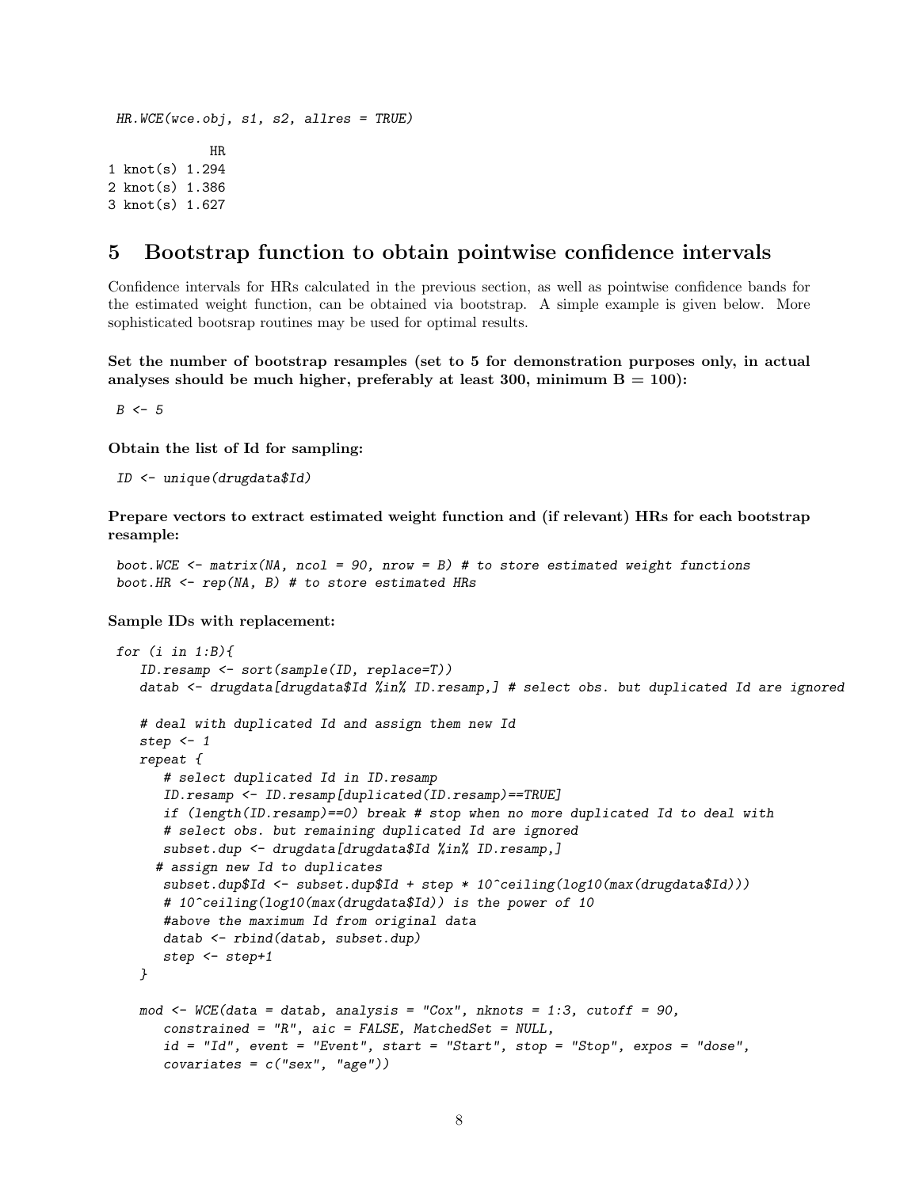$HR.WCE(we.obj, s1, s2, allres = TRUE)$ HR 1 knot(s) 1.294 2 knot(s) 1.386 3 knot(s) 1.627

### 5 Bootstrap function to obtain pointwise confidence intervals

Confidence intervals for HRs calculated in the previous section, as well as pointwise confidence bands for the estimated weight function, can be obtained via bootstrap. A simple example is given below. More sophisticated bootsrap routines may be used for optimal results.

Set the number of bootstrap resamples (set to 5 for demonstration purposes only, in actual analyses should be much higher, preferably at least 300, minimum  $B = 100$ :

 $B \le -5$ 

Obtain the list of Id for sampling:

```
ID <- unique(drugdata$Id)
```
Prepare vectors to extract estimated weight function and (if relevant) HRs for each bootstrap resample:

```
boot.WCE \leq matrix(NA, ncol = 90, nrow = B) # to store estimated weight functions
boot.HR <- rep(NA, B) # to store estimated HRs
```
Sample IDs with replacement:

```
for (i in 1:B){
   ID.resamp <- sort(sample(ID, replace=T))
  datab <- drugdata[drugdata$Id %in% ID.resamp,] # select obs. but duplicated Id are ignored
   # deal with duplicated Id and assign them new Id
   step <-1repeat {
      # select duplicated Id in ID.resamp
      ID.resamp <- ID.resamp[duplicated(ID.resamp)==TRUE]
      if (length(ID.resamp)==0) break # stop when no more duplicated Id to deal with
      # select obs. but remaining duplicated Id are ignored
      subset.dup <- drugdata[drugdata$Id %in% ID.resamp,]
     # assign new Id to duplicates
      subset.dup$Id < -subsubset.dup$Id + step * 10^-ceiling(log10(max(drugdata$Id)))# 10^ceiling(log10(max(drugdata$Id)) is the power of 10
      #above the maximum Id from original data
      datab <- rbind(datab, subset.dup)
      step <- step+1
   }
  mod \leq WCE(data = datab, analysis = "Cox", nknots = 1:3, cutoff = 90,
      constrained = "R", aic = FALSE, MatchedSet = NULL,
      id = "Id", event = "Event", start = "Start", stop = "Stop", expos = "dose",
      covariates = c("sex", "age"))
```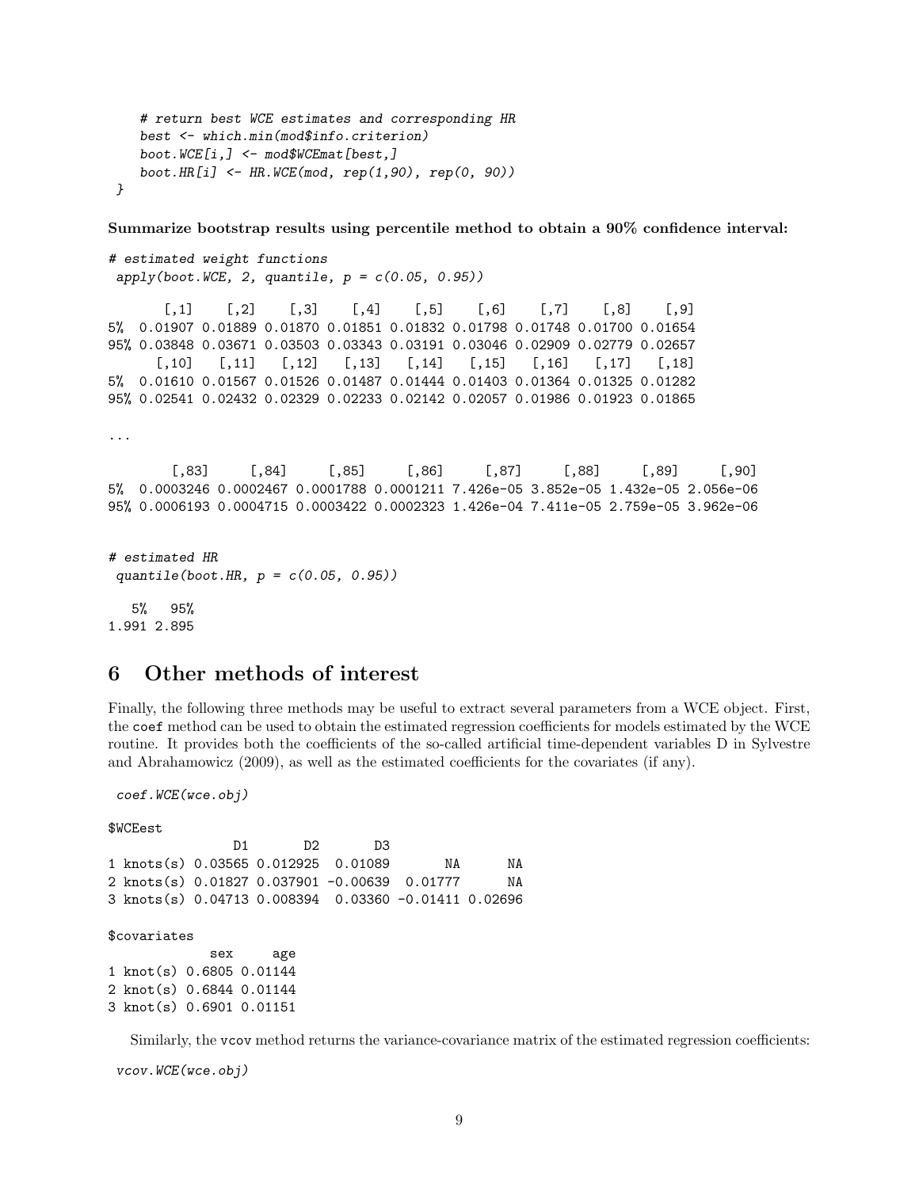```
# return best WCE estimates and corresponding HR
   best <- which.min(mod$info.criterion)
   boot.WCE[i, ] \leftarrow mod$WCEmat[best, ]boot.HR[i] <- HR.WCE(mod, rep(1,90), rep(0, 90))
}
```
Summarize bootstrap results using percentile method to obtain a 90% confidence interval:

```
# estimated weight functions
 apply(boot.WCE, 2, quantile, p = c(0.05, 0.95))
```
 $[0,1]$   $[0,2]$   $[0,3]$   $[0,4]$   $[0,5]$   $[0,6]$   $[0,7]$   $[0,8]$   $[0,9]$ 5% 0.01907 0.01889 0.01870 0.01851 0.01832 0.01798 0.01748 0.01700 0.01654 95% 0.03848 0.03671 0.03503 0.03343 0.03191 0.03046 0.02909 0.02779 0.02657  $[0,10]$   $[0,11]$   $[0,12]$   $[0,13]$   $[0,14]$   $[0,15]$   $[0,16]$   $[0,17]$   $[0,18]$ 5% 0.01610 0.01567 0.01526 0.01487 0.01444 0.01403 0.01364 0.01325 0.01282 95% 0.02541 0.02432 0.02329 0.02233 0.02142 0.02057 0.01986 0.01923 0.01865

...

[,83] [,84] [,85] [,86] [,87] [,88] [,89] [,90] 5% 0.0003246 0.0002467 0.0001788 0.0001211 7.426e-05 3.852e-05 1.432e-05 2.056e-06 95% 0.0006193 0.0004715 0.0003422 0.0002323 1.426e-04 7.411e-05 2.759e-05 3.962e-06

```
# estimated HR
quantile(boot.HR, p = c(0.05, 0.95))
```
5% 95% 1.991 2.895

## 6 Other methods of interest

Finally, the following three methods may be useful to extract several parameters from a WCE object. First, the coef method can be used to obtain the estimated regression coefficients for models estimated by the WCE routine. It provides both the coefficients of the so-called artificial time-dependent variables D in Sylvestre and Abrahamowicz (2009), as well as the estimated coefficients for the covariates (if any).

```
coef.WCE(wce.obj)
```
\$WCEest

D1 D2 D3 1 knots(s) 0.03565 0.012925 0.01089 NA NA 2 knots(s) 0.01827 0.037901 -0.00639 0.01777 NA 3 knots(s) 0.04713 0.008394 0.03360 -0.01411 0.02696

```
$covariates
```
sex age 1 knot(s) 0.6805 0.01144 2 knot(s) 0.6844 0.01144 3 knot(s) 0.6901 0.01151

Similarly, the vcov method returns the variance-covariance matrix of the estimated regression coefficients:

vcov.WCE(wce.obj)